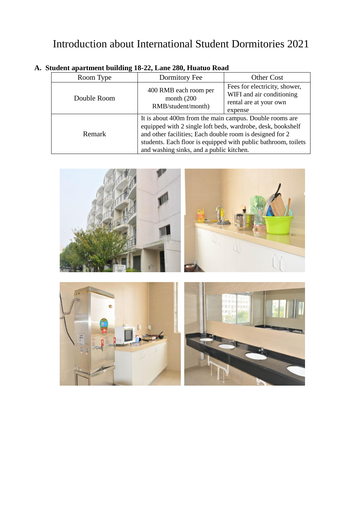## Introduction about International Student Dormitories 2021

| Room Type   | Dormitory Fee                                                                                                                                                                                                                                                                                    | <b>Other Cost</b>                                                                               |  |
|-------------|--------------------------------------------------------------------------------------------------------------------------------------------------------------------------------------------------------------------------------------------------------------------------------------------------|-------------------------------------------------------------------------------------------------|--|
| Double Room | 400 RMB each room per<br>month $(200)$<br>RMB/student/month)                                                                                                                                                                                                                                     | Fees for electricity, shower,<br>WIFI and air conditioning<br>rental are at your own<br>expense |  |
| Remark      | It is about 400m from the main campus. Double rooms are<br>equipped with 2 single loft beds, wardrobe, desk, bookshelf<br>and other facilities; Each double room is designed for 2<br>students. Each floor is equipped with public bathroom, toilets<br>and washing sinks, and a public kitchen. |                                                                                                 |  |

## **A. Student apartment building 18-22, Lane 280, Huatuo Road**

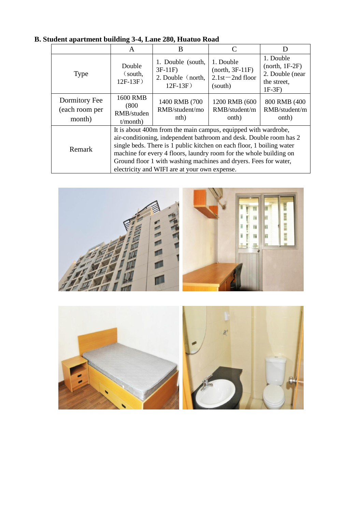|                                           | A                                                                                                                                                                                                                                                                                                                                                                                                        | B                                                                 |                                                                  |                                                                            |
|-------------------------------------------|----------------------------------------------------------------------------------------------------------------------------------------------------------------------------------------------------------------------------------------------------------------------------------------------------------------------------------------------------------------------------------------------------------|-------------------------------------------------------------------|------------------------------------------------------------------|----------------------------------------------------------------------------|
| <b>Type</b>                               | Double<br>$\zeta$ south,<br>$12F-13F$                                                                                                                                                                                                                                                                                                                                                                    | 1. Double (south,<br>$3F-11F$<br>2. Double (north,<br>$12F-13F$ ) | 1. Double<br>$(north, 3F-11F)$<br>$2.1st - 2nd$ floor<br>(south) | 1. Double<br>$(north, 1F-2F)$<br>2. Double (near<br>the street,<br>$1F-3F$ |
| Dormitory Fee<br>(each room per<br>month) | <b>1600 RMB</b><br>(800)<br>RMB/studen<br>t/month)                                                                                                                                                                                                                                                                                                                                                       | 1400 RMB (700<br>RMB/student/mo<br>nth)                           | 1200 RMB (600<br>RMB/student/m<br>onth)                          | 800 RMB (400<br>RMB/student/m<br>onth)                                     |
| Remark                                    | It is about 400m from the main campus, equipped with wardrobe,<br>air-conditioning, independent bathroom and desk. Double room has 2<br>single beds. There is 1 public kitchen on each floor, 1 boiling water<br>machine for every 4 floors, laundry room for the whole building on<br>Ground floor 1 with washing machines and dryers. Fees for water,<br>electricity and WIFI are at your own expense. |                                                                   |                                                                  |                                                                            |